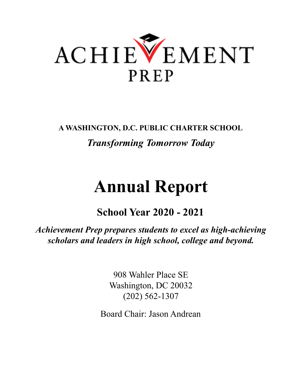

**A WASHINGTON, D.C. PUBLIC CHARTER SCHOOL** *Transforming Tomorrow Today*

# **Annual Report**

**School Year 2020 - 2021**

*Achievement Prep prepares students to excel as high-achieving scholars and leaders in high school, college and beyond.*

> 908 Wahler Place SE Washington, DC 20032 (202) 562-1307

Board Chair: Jason Andrean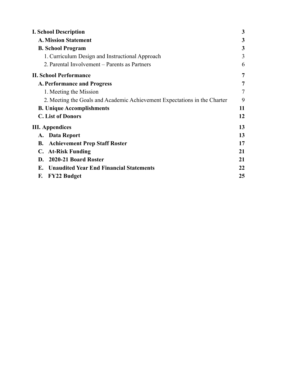| <b>I. School Description</b>                                              | 3              |
|---------------------------------------------------------------------------|----------------|
| <b>A. Mission Statement</b>                                               | 3              |
| <b>B. School Program</b>                                                  | 3              |
| 1. Curriculum Design and Instructional Approach                           | 3              |
| 2. Parental Involvement – Parents as Partners                             | 6              |
| <b>II. School Performance</b>                                             | $\overline{7}$ |
| <b>A. Performance and Progress</b>                                        | 7              |
| 1. Meeting the Mission                                                    | 7              |
| 2. Meeting the Goals and Academic Achievement Expectations in the Charter | 9              |
| <b>B. Unique Accomplishments</b>                                          | 11             |
| <b>C.</b> List of Donors                                                  | 12             |
| <b>III.</b> Appendices                                                    | 13             |
| A. Data Report                                                            | 13             |
| <b>Achievement Prep Staff Roster</b><br>В.                                | 17             |
| C. At-Risk Funding                                                        | 21             |
| D. 2020-21 Board Roster                                                   | 21             |
| <b>Unaudited Year End Financial Statements</b><br>Е.                      | 22             |
| F.<br><b>FY22 Budget</b>                                                  | 25             |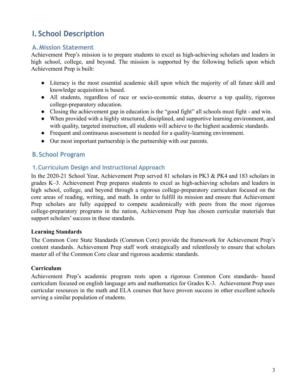# <span id="page-2-0"></span>**I. School Description**

## <span id="page-2-1"></span>**A.Mission Statement**

Achievement Prep's mission is to prepare students to excel as high-achieving scholars and leaders in high school, college, and beyond. The mission is supported by the following beliefs upon which Achievement Prep is built:

- Literacy is the most essential academic skill upon which the majority of all future skill and knowledge acquisition is based.
- All students, regardless of race or socio-economic status, deserve a top quality, rigorous college-preparatory education.
- Closing the achievement gap in education is the "good fight" all schools must fight and win.
- When provided with a highly structured, disciplined, and supportive learning environment, and with quality, targeted instruction, all students will achieve to the highest academic standards.
- Frequent and continuous assessment is needed for a quality-learning environment.
- Our most important partnership is the partnership with our parents.

## <span id="page-2-2"></span>**B.School Program**

#### <span id="page-2-3"></span>**1.Curriculum Design and Instructional Approach**

In the 2020-21 School Year, Achievement Prep served 81 scholars in PK3 & PK4 and 183 scholars in grades K–3. Achievement Prep prepares students to excel as high-achieving scholars and leaders in high school, college, and beyond through a rigorous college-preparatory curriculum focused on the core areas of reading, writing, and math. In order to fulfill its mission and ensure that Achievement Prep scholars are fully equipped to compete academically with peers from the most rigorous college-preparatory programs in the nation, Achievement Prep has chosen curricular materials that support scholars' success in these standards.

#### **Learning Standards**

The Common Core State Standards (Common Core) provide the framework for Achievement Prep's content standards. Achievement Prep staff work strategically and relentlessly to ensure that scholars master all of the Common Core clear and rigorous academic standards.

#### **Curriculum**

Achievement Prep's academic program rests upon a rigorous Common Core standards- based curriculum focused on english language arts and mathematics for Grades K-3. Achievement Prep uses curricular resources in the math and ELA courses that have proven success in other excellent schools serving a similar population of students.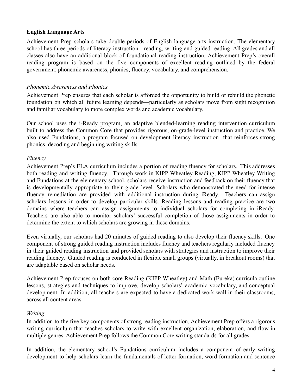#### **English Language Arts**

Achievement Prep scholars take double periods of English language arts instruction. The elementary school has three periods of literacy instruction - reading, writing and guided reading. All grades and all classes also have an additional block of foundational reading instruction. Achievement Prep's overall reading program is based on the five components of excellent reading outlined by the federal government: phonemic awareness, phonics, fluency, vocabulary, and comprehension.

#### *Phonemic Awareness and Phonics*

Achievement Prep ensures that each scholar is afforded the opportunity to build or rebuild the phonetic foundation on which all future learning depends—particularly as scholars move from sight recognition and familiar vocabulary to more complex words and academic vocabulary.

Our school uses the i-Ready program, an adaptive blended-learning reading intervention curriculum built to address the Common Core that provides rigorous, on-grade-level instruction and practice. We also used Fundations, a program focused on development literacy instruction that reinforces strong phonics, decoding and beginning writing skills.

#### *Fluency*

Achievement Prep's ELA curriculum includes a portion of reading fluency for scholars. This addresses both reading and writing fluency. Through work in KIPP Wheatley Reading, KIPP Wheatley Writing and Fundations at the elementary school, scholars receive instruction and feedback on their fluency that is developmentally appropriate to their grade level. Scholars who demonstrated the need for intense fluency remediation are provided with additional instruction during iReady. Teachers can assign scholars lessons in order to develop particular skills. Reading lessons and reading practice are two domains where teachers can assign assignments to individual scholars for completing in iReady. Teachers are also able to monitor scholars' successful completion of those assignments in order to determine the extent to which scholars are growing in these domains.

Even virtually, our scholars had 20 minutes of guided reading to also develop their fluency skills. One component of strong guided reading instruction includes fluency and teachers regularly included fluency in their guided reading instruction and provided scholars with strategies and instruction to improve their reading fluency. Guided reading is conducted in flexible small groups (virtually, in breakout rooms) that are adaptable based on scholar needs.

Achievement Prep focuses on both core Reading (KIPP Wheatley) and Math (Eureka) curricula outline lessons, strategies and techniques to improve, develop scholars' academic vocabulary, and conceptual development. In addition, all teachers are expected to have a dedicated work wall in their classrooms, across all content areas.

#### *Writing*

In addition to the five key components of strong reading instruction, Achievement Prep offers a rigorous writing curriculum that teaches scholars to write with excellent organization, elaboration, and flow in multiple genres. Achievement Prep follows the Common Core writing standards for all grades.

In addition, the elementary school's Fundations curriculum includes a component of early writing development to help scholars learn the fundamentals of letter formation, word formation and sentence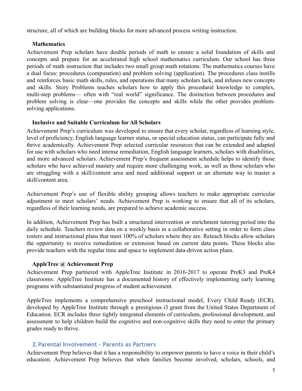structure, all of which are building blocks for more advanced process writing instruction.

#### **Mathematics**

Achievement Prep scholars have double periods of math to ensure a solid foundation of skills and concepts and prepare for an accelerated high school mathematics curriculum. Our school has three periods of math instruction that includes two small group math rotations. The mathematics courses have a dual focus: procedures (computation) and problem solving (application). The procedures class instills and reinforces basic math skills, rules, and operations that many scholars lack, and infuses new concepts and skills. Story Problems teaches scholars how to apply this procedural knowledge to complex, multi-step problems— often with "real world" significance. The distinction between procedures and problem solving is clear—one provides the concepts and skills while the other provides problemsolving applications.

#### **Inclusive and Suitable Curriculum for All Scholars**

Achievement Prep's curriculum was developed to ensure that every scholar, regardless of learning style, level of proficiency, English language learner status, or special education status, can participate fully and thrive academically. Achievement Prep selected curricular resources that can be extended and adapted for use with scholars who need intense remediation, English language learners, scholars with disabilities, and more advanced scholars. Achievement Prep's frequent assessment schedule helps to identify those scholars who have achieved mastery and require more challenging work, as well as those scholars who are struggling with a skill/content area and need additional support or an alternate way to master a skill/content area.

Achievement Prep's use of flexible ability grouping allows teachers to make appropriate curricular adjustment to meet scholars' needs. Achievement Prep is working to ensure that all of its scholars, regardless of their learning needs, are prepared to achieve academic success.

In addition, Achievement Prep has built a structured intervention or enrichment tutoring period into the daily schedule. Teachers review data on a weekly basis in a collaborative setting in order to form class rosters and instructional plans that meet 100% of scholars where they are. Reteach blocks allow scholars the opportunity to receive remediation or extension based on current data points. These blocks also provide teachers with the regular time and space to implement data-driven action plans.

#### **AppleTree @ Achievement Prep**

Achievement Prep partnered with AppleTree Institute in 2016-2017 to operate PreK3 and PreK4 classrooms. AppleTree Institute has a documented history of effectively implementing early learning programs with substantiated progress of student achievement.

AppleTree implements a comprehensive preschool instructional model, Every Child Ready (ECR), developed by AppleTree Institute through a prestigious i3 grant from the United States Department of Education. ECR includes three tightly integrated elements of curriculum, professional development, and assessment to help children build the cognitive and non-cognitive skills they need to enter the primary grades ready to thrive.

#### <span id="page-4-0"></span>**2.Parental Involvement – Parents as Partners**

Achievement Prep believes that it has a responsibility to empower parents to have a voice in their child's education. Achievement Prep believes that when families become involved, scholars, schools, and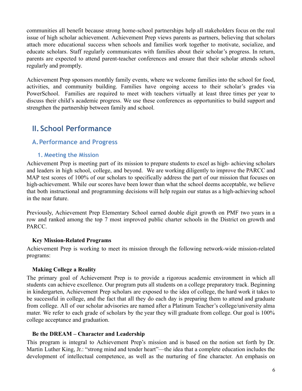communities all benefit because strong home-school partnerships help all stakeholders focus on the real issue of high scholar achievement. Achievement Prep views parents as partners, believing that scholars attach more educational success when schools and families work together to motivate, socialize, and educate scholars. Staff regularly communicates with families about their scholar's progress. In return, parents are expected to attend parent-teacher conferences and ensure that their scholar attends school regularly and promptly.

Achievement Prep sponsors monthly family events, where we welcome families into the school for food, activities, and community building. Families have ongoing access to their scholar's grades via PowerSchool. Families are required to meet with teachers virtually at least three times per year to discuss their child's academic progress. We use these conferences as opportunities to build support and strengthen the partnership between family and school.

# <span id="page-5-0"></span>**II. School Performance**

## <span id="page-5-2"></span><span id="page-5-1"></span>**A.Performance and Progress**

#### **1. Meeting the Mission**

Achievement Prep is meeting part of its mission to prepare students to excel as high- achieving scholars and leaders in high school, college, and beyond. We are working diligently to improve the PARCC and MAP test scores of 100% of our scholars to specifically address the part of our mission that focuses on high-achievement. While our scores have been lower than what the school deems acceptable, we believe that both instructional and programming decisions will help regain our status as a high-achieving school in the near future.

Previously, Achievement Prep Elementary School earned double digit growth on PMF two years in a row and ranked among the top 7 most improved public charter schools in the District on growth and **PARCC.** 

#### **Key Mission-Related Programs**

Achievement Prep is working to meet its mission through the following network-wide mission-related programs:

#### **Making College a Reality**

The primary goal of Achievement Prep is to provide a rigorous academic environment in which all students can achieve excellence. Our program puts all students on a college preparatory track. Beginning in kindergarten, Achievement Prep scholars are exposed to the idea of college, the hard work it takes to be successful in college, and the fact that all they do each day is preparing them to attend and graduate from college. All of our scholar advisories are named after a Platinum Teacher's college/university alma mater. We refer to each grade of scholars by the year they will graduate from college. Our goal is 100% college acceptance and graduation.

#### **Be the DREAM – Character and Leadership**

This program is integral to Achievement Prep's mission and is based on the notion set forth by Dr. Martin Luther King, Jr.: "strong mind and tender heart"—the idea that a complete education includes the development of intellectual competence, as well as the nurturing of fine character. An emphasis on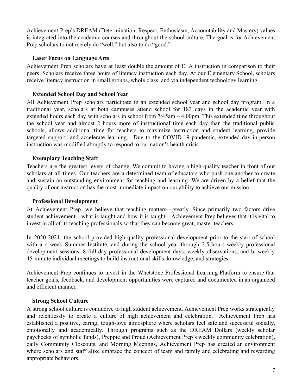Achievement Prep's DREAM (Determination, Respect, Enthusiasm, Accountability and Mastery) values is integrated into the academic courses and throughout the school culture. The goal is for Achievement Prep scholars to not merely do "well," but also to do "good."

#### **Laser Focus on Language Arts**

Achievement Prep scholars have at least double the amount of ELA instruction in comparison to their peers. Scholars receive three hours of literacy instruction each day. At our Elementary School, scholars receive literacy instruction in small groups, whole class, and via independent technology learning.

#### **Extended School Day and School Year**

All Achievement Prep scholars participate in an extended school year and school day program. In a traditional year, scholars at both campuses attend school for 183 days in the academic year with extended hours each day with scholars in school from 7:45am – 4:00pm. This extended time throughout the school year and almost 2 hours more of instructional time each day than the traditional public schools, allows additional time for teachers to maximize instruction and student learning, provide targeted support, and accelerate learning. Due to the COVID-19 pandemic, extended day in-person instruction was modified abruptly to respond to our nation's health crisis.

#### **Exemplary Teaching Staff**

Teachers are the greatest levers of change. We commit to having a high-quality teacher in front of our scholars at all times. Our teachers are a determined team of educators who push one another to create and sustain an outstanding environment for teaching and learning. We are driven by a belief that the quality of our instruction has the most immediate impact on our ability to achieve our mission.

#### **Professional Development**

At Achievement Prep, we believe that teaching matters—greatly. Since primarily two factors drive student achievement—what is taught and how it is taught—Achievement Prep believes that it is vital to invest in all of its teaching professionals so that they can become great, master teachers.

In 2020-2021, the school provided high quality professional development prior to the start of school with a 4-week Summer Institute, and during the school year through 2.5 hours weekly professional development sessions, 8 full-day professional development days, weekly observations, and bi-weekly 45-minute individual meetings to build instructional skills, knowledge, and strategies.

Achievement Prep continues to invest in the Whetstone Professional Learning Platform to ensure that teacher goals, feedback, and development opportunities were captured and documented in an organized and efficient manner.

#### **Strong School Culture**

A strong school culture is conducive to high student achievement. Achievement Prep works strategically and relentlessly to create a culture of high achievement and celebration. Achievement Prep has established a positive, caring, tough-love atmosphere where scholars feel safe and successful socially, emotionally and academically. Through programs such as the DREAM Dollars (weekly scholar paychecks of symbolic funds), Preppie and Proud (Achievement Prep's weekly community celebration), daily Community Closeouts, and Morning Meetings, Achievement Prep has created an environment where scholars and staff alike embrace the concept of team and family and celebrating and rewarding appropriate behaviors.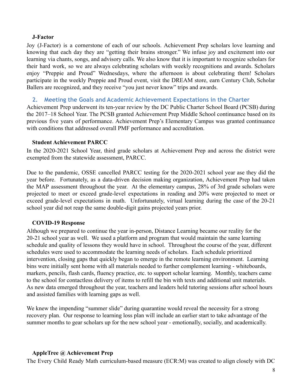#### **J-Factor**

Joy (J-Factor) is a cornerstone of each of our schools. Achievement Prep scholars love learning and knowing that each day they are "getting their brains stronger." We infuse joy and excitement into our learning via chants, songs, and advisory calls. We also know that it is important to recognize scholars for their hard work, so we are always celebrating scholars with weekly recognitions and awards. Scholars enjoy "Preppie and Proud" Wednesdays, where the afternoon is about celebrating them! Scholars participate in the weekly Preppie and Proud event, visit the DREAM store, earn Century Club, Scholar Ballers are recognized, and they receive "you just never know" trips and awards.

#### **2. Meeting the Goals and Academic Achievement Expectations in the Charter**

Achievement Prep underwent its ten-year review by the DC Public Charter School Board (PCSB) during the 2017–18 School Year. The PCSB granted Achievement Prep Middle School continuance based on its previous five years of performance. Achievement Prep's Elementary Campus was granted continuance with conditions that addressed overall PMF performance and accreditation.

#### **Student Achievement PARCC**

In the 2020-2021 School Year, third grade scholars at Achievement Prep and across the district were exempted from the statewide assessment, PARCC.

Due to the pandemic, OSSE cancelled PARCC testing for the 2020-2021 school year ase they did the year before. Fortunately, as a data-driven decision making organization, Achievement Prep had taken the MAP assessment throughout the year. At the elementary campus, 28% of 3rd grade scholars were projected to meet or exceed grade-level expectations in reading and 20% were projected to meet or exceed grade-level expectations in math. Unfortunately, virtual learning during the case of the 20-21 school year did not reap the same double-digit gains projected years prior.

#### **COVID-19 Response**

Although we prepared to continue the year in-person, Distance Learning became our reality for the 20-21 school year as well. We used a platform and program that would maintain the same learning schedule and quality of lessons they would have in school. Throughout the course of the year, different schedules were used to accommodate the learning needs of scholars. Each schedule prioritized intervention, closing gaps that quickly began to emerge in the remote learning environment. Learning bins were initially sent home with all materials needed to further complement learning - whiteboards, markers, pencils, flash cards, fluency practice, etc. to support scholar learning. Monthly, teachers came to the school for contactless delivery of items to refill the bin with texts and additional unit materials. As new data emerged throughout the year, teachers and leaders held tutoring sessions after school hours and assisted families with learning gaps as well.

We knew the impending "summer slide" during quarantine would reveal the necessity for a strong recovery plan. Our response to learning loss plan will include an earlier start to take advantage of the summer months to gear scholars up for the new school year - emotionally, socially, and academically.

#### **AppleTree @ Achievement Prep**

The Every Child Ready Math curriculum-based measure (ECR:M) was created to align closely with DC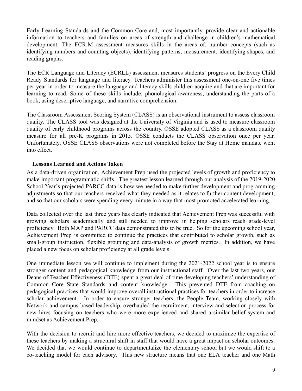Early Learning Standards and the Common Core and, most importantly, provide clear and actionable information to teachers and families on areas of strength and challenge in children's mathematical development. The ECR:M assessment measures skills in the areas of: number concepts (such as identifying numbers and counting objects), identifying patterns, measurement, identifying shapes, and reading graphs.

The ECR Language and Literacy (ECRLL) assessment measures students' progress on the Every Child Ready Standards for language and literacy. Teachers administer this assessment one-on-one five times per year in order to measure the language and literacy skills children acquire and that are important for learning to read. Some of these skills include: phonological awareness, understanding the parts of a book, using descriptive language, and narrative comprehension.

The Classroom Assessment Scoring System (CLASS) is an observational instrument to assess classroom quality. The CLASS tool was designed at the University of Virginia and is used to measure classroom quality of early childhood programs across the country. OSSE adopted CLASS as a classroom quality measure for all pre-K programs in 2015. OSSE conducts the CLASS observation once per year. Unfortunately, OSSE CLASS observations were not completed before the Stay at Home mandate went into effect.

#### **Lessons Learned and Actions Taken**

As a data-driven organization, Achievement Prep used the projected levels of growth and proficiency to make important programmatic shifts. The greatest lesson learned through our analysis of the 2019-2020 School Year's projected PARCC data is how we needed to make further development and programming adjustments so that our teachers received what they needed as it relates to further content development, and so that our scholars were spending every minute in a way that most promoted accelerated learning.

Data collected over the last three years has clearly indicated that Achievement Prep was successful with growing scholars academically and still needed to improve in helping scholars reach grade-level proficiency. Both MAP and PARCC data demonstrated this to be true. So for the upcoming school year, Achievement Prep is committed to continue the practices that contributed to scholar growth, such as small-group instruction, flexible grouping and data-analysis of growth metrics. In addition, we have placed a new focus on scholar proficiency at all grade levels

One immediate lesson we will continue to implement during the 2021-2022 school year is to ensure stronger content and pedagogical knowledge from our instructional staff. Over the last two years, our Deans of Teacher Effectiveness (DTE) spent a great deal of time developing teachers' understanding of Common Core State Standards and content knowledge. This prevented DTE from coaching on pedagogical practices that would improve overall instructional practices for teachers in order to increase scholar achievement. In order to ensure stronger teachers, the People Team, working closely with Network and campus-based leadership, overhauled the recruitment, interview and selection process for new hires focusing on teachers who were more experienced and shared a similar belief system and mindset as Achievement Prep.

With the decision to recruit and hire more effective teachers, we decided to maximize the expertise of these teachers by making a structural shift in staff that would have a great impact on scholar outcomes. We decided that we would continue to departmentalize the elementary school but we would shift to a co-teaching model for each advisory. This new structure means that one ELA teacher and one Math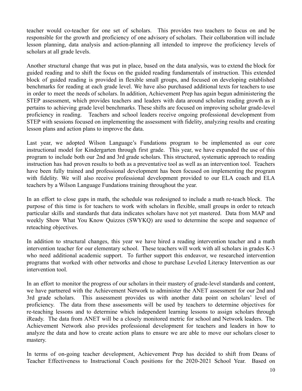teacher would co-teacher for one set of scholars. This provides two teachers to focus on and be responsible for the growth and proficiency of one advisory of scholars. Their collaboration will include lesson planning, data analysis and action-planning all intended to improve the proficiency levels of scholars at all grade levels.

Another structural change that was put in place, based on the data analysis, was to extend the block for guided reading and to shift the focus on the guided reading fundamentals of instruction. This extended block of guided reading is provided in flexible small groups, and focused on developing established benchmarks for reading at each grade level. We have also purchased additional texts for teachers to use in order to meet the needs of scholars. In addition, Achievement Prep has again begun administering the STEP assessment, which provides teachers and leaders with data around scholars reading growth as it pertains to achieving grade level benchmarks. These shifts are focused on improving scholar grade-level proficiency in reading. Teachers and school leaders receive ongoing professional development from STEP with sessions focused on implementing the assessment with fidelity, analyzing results and creating lesson plans and action plans to improve the data.

Last year, we adopted Wilson Language's Fundations program to be implemented as our core instructional model for Kindergarten through first grade. This year, we have expanded the use of this program to include both our 2nd and 3rd grade scholars. This structured, systematic approach to reading instruction has had proven results to both as a preventative tool as well as an intervention tool. Teachers have been fully trained and professional development has been focused on implementing the program with fidelity. We will also receive professional development provided to our ELA coach and ELA teachers by a Wilson Language Fundations training throughout the year.

In an effort to close gaps in math, the schedule was redesigned to include a math re-teach block. The purpose of this time is for teachers to work with scholars in flexible, small groups in order to reteach particular skills and standards that data indicates scholars have not yet mastered. Data from MAP and weekly Show What You Know Quizzes (SWYKQ) are used to determine the scope and sequence of reteaching objectives.

In addition to structural changes, this year we have hired a reading intervention teacher and a math intervention teacher for our elementary school. These teachers will work with all scholars in grades K-3 who need additional academic support. To further support this endeavor, we researched intervention programs that worked with other networks and chose to purchase Leveled Literacy Intervention as our intervention tool.

In an effort to monitor the progress of our scholars in their mastery of grade-level standards and content, we have partnered with the Achievement Network to administer the ANET assessment for our 2nd and 3rd grade scholars. This assessment provides us with another data point on scholars' level of proficiency. The data from these assessments will be used by teachers to determine objectives for re-teaching lessons and to determine which independent learning lessons to assign scholars through iReady. The data from ANET will be a closely monitored metric for school and Network leaders. The Achievement Network also provides professional development for teachers and leaders in how to analyze the data and how to create action plans to ensure we are able to move our scholars closer to mastery.

In terms of on-going teacher development, Achievement Prep has decided to shift from Deans of Teacher Effectiveness to Instructional Coach positions for the 2020-2021 School Year. Based on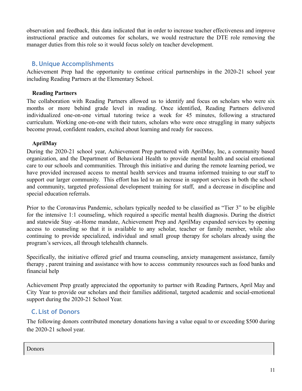observation and feedback, this data indicated that in order to increase teacher effectiveness and improve instructional practice and outcomes for scholars, we would restructure the DTE role removing the manager duties from this role so it would focus solely on teacher development.

#### <span id="page-10-0"></span>**B.Unique Accomplishments**

Achievement Prep had the opportunity to continue critical partnerships in the 2020-21 school year including Reading Partners at the Elementary School.

#### **Reading Partners**

The collaboration with Reading Partners allowed us to identify and focus on scholars who were six months or more behind grade level in reading. Once identified, Reading Partners delivered individualized one-on-one virtual tutoring twice a week for 45 minutes, following a structured curriculum. Working one-on-one with their tutors, scholars who were once struggling in many subjects become proud, confident readers, excited about learning and ready for success.

#### **AprilMay**

During the 2020-21 school year, Achievement Prep partnered with AprilMay, Inc, a community based organization, and the Department of Behavioral Health to provide mental health and social emotional care to our schools and communities. Through this initiative and during the remote learning period, we have provided increased access to mental health services and trauma informed training to our staff to support our larger community. This effort has led to an increase in support services in both the school and community, targeted professional development training for staff, and a decrease in discipline and special education referrals.

Prior to the Coronavirus Pandemic, scholars typically needed to be classified as "Tier 3" to be eligible for the intensive 1:1 counseling, which required a specific mental health diagnosis. During the district and statewide Stay -at-Home mandate, Achievement Prep and AprilMay expanded services by opening access to counseling so that it is available to any scholar, teacher or family member, while also continuing to provide specialized, individual and small group therapy for scholars already using the program's services, all through telehealth channels.

Specifically, the initiative offered grief and trauma counseling, anxiety management assistance, family therapy , parent training and assistance with how to access community resources such as food banks and financial help

Achievement Prep greatly appreciated the opportunity to partner with Reading Partners, April May and City Year to provide our scholars and their families additional, targeted academic and social-emotional support during the 2020-21 School Year.

## <span id="page-10-1"></span>**C.List of Donors**

The following donors contributed monetary donations having a value equal to or exceeding \$500 during the 2020-21 school year.

Donors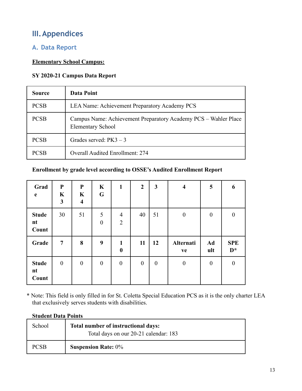# <span id="page-12-0"></span>**III.Appendices**

## <span id="page-12-1"></span>**A. Data Report**

#### **Elementary School Campus:**

#### **SY 2020-21 Campus Data Report**

| <b>Source</b> | Data Point                                                                                  |
|---------------|---------------------------------------------------------------------------------------------|
| <b>PCSB</b>   | LEA Name: Achievement Preparatory Academy PCS                                               |
| <b>PCSB</b>   | Campus Name: Achievement Preparatory Academy PCS - Wahler Place<br><b>Elementary School</b> |
| <b>PCSB</b>   | Grades served: $PK3 - 3$                                                                    |
| <b>PCSB</b>   | <b>Overall Audited Enrollment: 274</b>                                                      |

#### **Enrollment by grade level according to OSSE's Audited Enrollment Report**

| Grad<br>$\mathbf e$         | ${\bf P}$<br>$\mathbf K$<br>3 | ${\bf P}$<br>$\mathbf K$<br>$\overline{\mathbf{4}}$ | $\mathbf K$<br>G | $\mathbf{1}$                     | $\boldsymbol{2}$ | 3                | $\overline{\mathbf{4}}$ | 5                | 6                   |
|-----------------------------|-------------------------------|-----------------------------------------------------|------------------|----------------------------------|------------------|------------------|-------------------------|------------------|---------------------|
| <b>Stude</b><br>nt<br>Count | 30                            | 51                                                  | 5<br>$\theta$    | $\overline{4}$<br>$\overline{2}$ | 40               | 51               | $\boldsymbol{0}$        | $\theta$         | $\boldsymbol{0}$    |
| Grade                       | $\overline{7}$                | 8                                                   | 9                | $\mathbf{1}$<br>$\boldsymbol{0}$ | 11               | 12               | Alternati<br>ve         | Ad<br>ult        | <b>SPE</b><br>$D^*$ |
| <b>Stude</b><br>nt<br>Count | $\boldsymbol{0}$              | $\boldsymbol{0}$                                    | $\boldsymbol{0}$ | $\boldsymbol{0}$                 | $\boldsymbol{0}$ | $\boldsymbol{0}$ | $\boldsymbol{0}$        | $\boldsymbol{0}$ | $\boldsymbol{0}$    |

\* Note: This field is only filled in for St. Coletta Special Education PCS as it is the only charter LEA that exclusively serves students with disabilities.

#### **Student Data Points**

| School      | Total number of instructional days:<br>Total days on our 20-21 calendar: 183 |
|-------------|------------------------------------------------------------------------------|
| <b>PCSB</b> | <b>Suspension Rate: 0%</b>                                                   |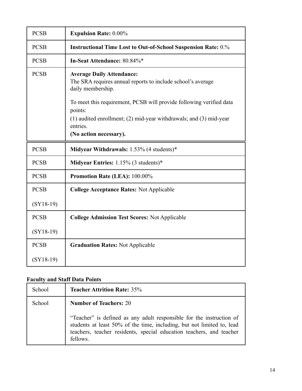| <b>PCSB</b> | <b>Expulsion Rate: 0.00%</b>                                                                                         |
|-------------|----------------------------------------------------------------------------------------------------------------------|
| <b>PCSB</b> | <b>Instructional Time Lost to Out-of-School Suspension Rate: 0.%</b>                                                 |
| <b>PCSB</b> | In-Seat Attendance: 80.84%*                                                                                          |
| <b>PCSB</b> | <b>Average Daily Attendance:</b><br>The SRA requires annual reports to include school's average<br>daily membership. |
|             | To meet this requirement, PCSB will provide following verified data                                                  |
|             | points:<br>$(1)$ audited enrollment; $(2)$ mid-year withdrawals; and $(3)$ mid-year<br>entries.                      |
|             | (No action necessary).                                                                                               |
| <b>PCSB</b> | <b>Midyear Withdrawals:</b> $1.53\%$ (4 students)*                                                                   |
| <b>PCSB</b> | <b>Midyear Entries:</b> $1.15\%$ (3 students)*                                                                       |
| <b>PCSB</b> | Promotion Rate (LEA): 100.00%                                                                                        |
| <b>PCSB</b> | <b>College Acceptance Rates: Not Applicable</b>                                                                      |
| $(SY18-19)$ |                                                                                                                      |
| <b>PCSB</b> | <b>College Admission Test Scores: Not Applicable</b>                                                                 |
| $(SY18-19)$ |                                                                                                                      |
| <b>PCSB</b> | <b>Graduation Rates: Not Applicable</b>                                                                              |
| $(SY18-19)$ |                                                                                                                      |

## **Faculty and Staff Data Points**

| School | <b>Teacher Attrition Rate: 35%</b>                                                                                                                                                                                                 |
|--------|------------------------------------------------------------------------------------------------------------------------------------------------------------------------------------------------------------------------------------|
| School | <b>Number of Teachers: 20</b>                                                                                                                                                                                                      |
|        | "Teacher" is defined as any adult responsible for the instruction of<br>students at least 50% of the time, including, but not limited to, lead<br>teachers, teacher residents, special education teachers, and teacher<br>fellows. |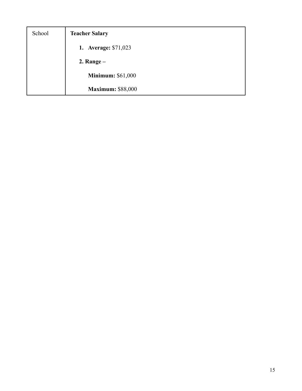| School | <b>Teacher Salary</b>    |
|--------|--------------------------|
|        | 1. Average: \$71,023     |
|        | 2. Range $-$             |
|        | <b>Minimum: \$61,000</b> |
|        | <b>Maximum: \$88,000</b> |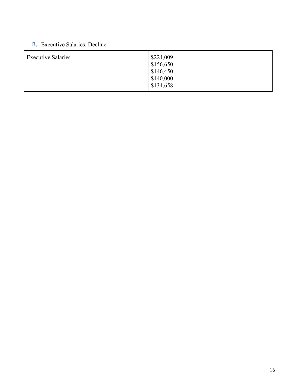## **B.** Executive Salaries: Decline

| <b>Executive Salaries</b> | $\frac{$224,009}{ }$<br>\$156,650<br>\$146,450 |
|---------------------------|------------------------------------------------|
|                           | \$140,000<br>\$134,658                         |
|                           |                                                |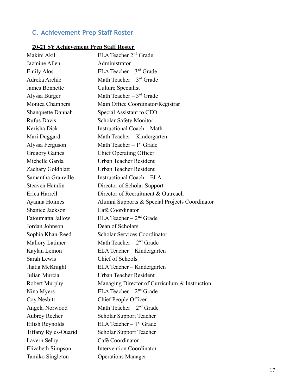# <span id="page-16-0"></span>**C. Achievement Prep Staff Roster**

## **20-21 SY Achievement Prep Staff Roster**

| Makini Akil                 | ELA Teacher 2 <sup>nd</sup> Grade              |
|-----------------------------|------------------------------------------------|
| Jazmine Allen               | Administrator                                  |
| <b>Emily Alos</b>           | ELA Teacher $-3$ <sup>rd</sup> Grade           |
| Adreka Archie               | Math Teacher $-3^{rd}$ Grade                   |
| <b>James Bonnette</b>       | <b>Culture Specialist</b>                      |
| Alyssa Burger               | Math Teacher $-3^{rd}$ Grade                   |
| Monica Chambers             | Main Office Coordinator/Registrar              |
| <b>Shanquette Dannah</b>    | Special Assistant to CEO                       |
| <b>Rufus Davis</b>          | <b>Scholar Safety Monitor</b>                  |
| Kerisha Dick                | <b>Instructional Coach – Math</b>              |
| Mari Duggard                | Math Teacher - Kindergarten                    |
| Alyssa Ferguson             | Math Teacher $-1st$ Grade                      |
| <b>Gregory Gaines</b>       | Chief Operating Officer                        |
| Michelle Garda              | Urban Teacher Resident                         |
| Zachary Goldblatt           | Urban Teacher Resident                         |
| Samantha Granville          | Instructional Coach – ELA                      |
| Steaven Hamlin              | Director of Scholar Support                    |
| Erica Harrell               | Director of Recruitment & Outreach             |
| Ayanna Holmes               | Alumni Supports & Special Projects Coordinator |
| Shanice Jackson             | Café Coordinator                               |
| Fatoumatta Jallow           | ELA Teacher $-2nd$ Grade                       |
| Jordan Johnson              | Dean of Scholars                               |
| Sophia Khan-Reed            | <b>Scholar Services Coordinator</b>            |
| <b>Mallory Latimer</b>      | Math Teacher $-2nd$ Grade                      |
| Kaylan Lemon                | ELA Teacher - Kindergarten                     |
| Sarah Lewis                 | Chief of Schools                               |
| Jhatia McKnight             | ELA Teacher - Kindergarten                     |
| Julian Murcia               | <b>Urban Teacher Resident</b>                  |
| <b>Robert Murphy</b>        | Managing Director of Curriculum & Instruction  |
| Nina Myers                  | ELA Teacher $-2nd$ Grade                       |
| Coy Nesbitt                 | Chief People Officer                           |
| Angela Norwood              | Math Teacher $-2nd$ Grade                      |
| <b>Aubrey Reeher</b>        | <b>Scholar Support Teacher</b>                 |
| Eilish Reynolds             | ELA Teacher $-1$ <sup>st</sup> Grade           |
| <b>Tiffany Ryles-Ouarid</b> | <b>Scholar Support Teacher</b>                 |
| Lavern Selby                | Café Coordinator                               |
| Elizabeth Simpson           | <b>Intervention Coordinator</b>                |
| Tamiko Singleton            | <b>Operations Manager</b>                      |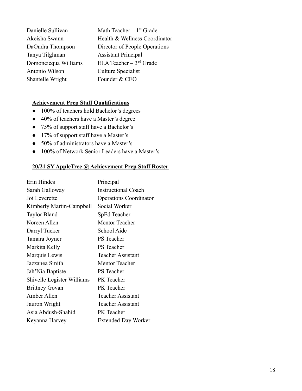| Danielle Sullivan    | Math Teacher $-1st$ Grade            |
|----------------------|--------------------------------------|
| Akeisha Swann        | Health & Wellness Coordinator        |
| DaOndra Thompson     | Director of People Operations        |
| Tanya Tilghman       | <b>Assistant Principal</b>           |
| Domoneicqua Williams | ELA Teacher $-3$ <sup>rd</sup> Grade |
| Antonio Wilson       | Culture Specialist                   |
| Shantelle Wright     | Founder & CEO                        |

#### **Achievement Prep Staff Qualifications**

- 100% of teachers hold Bachelor's degrees
- 40% of teachers have a Master's degree
- 75% of support staff have a Bachelor's
- 17% of support staff have a Master's
- 50% of administrators have a Master's
- 100% of Network Senior Leaders have a Master's

#### **20/21 SY AppleTree @ Achievement Prep Staff Roster**

| Erin Hindes                | Principal                     |
|----------------------------|-------------------------------|
| Sarah Galloway             | <b>Instructional Coach</b>    |
| Joi Leverette              | <b>Operations Coordinator</b> |
| Kimberly Martin-Campbell   | Social Worker                 |
| <b>Taylor Bland</b>        | SpEd Teacher                  |
| Noreen Allen               | <b>Mentor Teacher</b>         |
| Darryl Tucker              | School Aide                   |
| Tamara Joyner              | <b>PS</b> Teacher             |
| Markita Kelly              | <b>PS</b> Teacher             |
| Marquis Lewis              | <b>Teacher Assistant</b>      |
| Jazzanea Smith             | <b>Mentor Teacher</b>         |
| Jah'Nia Baptiste           | <b>PS</b> Teacher             |
| Shivelle Legister Williams | PK Teacher                    |
| <b>Brittney Govan</b>      | PK Teacher                    |
| Amber Allen                | <b>Teacher Assistant</b>      |
| Jauron Wright              | <b>Teacher Assistant</b>      |
| Asia Abdush-Shahid         | PK Teacher                    |
| Keyanna Harvey             | <b>Extended Day Worker</b>    |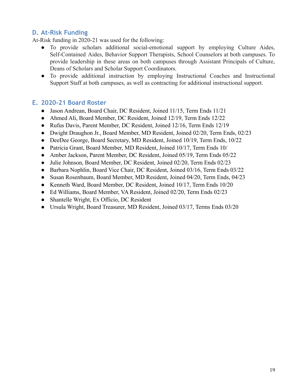## <span id="page-18-0"></span>**D. At-Risk Funding**

At-Risk funding in 2020-21 was used for the following:

- To provide scholars additional social-emotional support by employing Culture Aides, Self-Contained Aides, Behavior Support Therapists, School Counselors at both campuses. To provide leadership in these areas on both campuses through Assistant Principals of Culture, Deans of Scholars and Scholar Support Coordinators.
- To provide additional instruction by employing Instructional Coaches and Instructional Support Staff at both campuses, as well as contracting for additional instructional support.

## <span id="page-18-1"></span>**E. 2020-21 Board Roster**

- Jason Andrean, Board Chair, DC Resident, Joined 11/15, Term Ends 11/21
- Ahmed Ali, Board Member, DC Resident, Joined 12/19, Term Ends 12/22
- Rufus Davis, Parent Member, DC Resident, Joined 12/16, Term Ends 12/19
- Dwight Draughon Jr., Board Member, MD Resident, Joined 02/20, Term Ends, 02/23
- DeeDee George, Board Secretary, MD Resident, Joined 10/19, Term Ends, 10/22
- Patricia Grant, Board Member, MD Resident, Joined 10/17, Term Ends 10/
- Amber Jackson, Parent Member, DC Resident, Joined 05/19, Term Ends 05/22
- Julie Johnson, Board Member, DC Resident, Joined 02/20, Term Ends 02/23
- Barbara Nophlin, Board Vice Chair, DC Resident, Joined 03/16, Term Ends 03/22
- Susan Rosenbaum, Board Member, MD Resident, Joined 04/20, Term Ends, 04/23
- Kenneth Ward, Board Member, DC Resident, Joined 10/17, Term Ends 10/20
- Ed Williams, Board Member, VA Resident, Joined 02/20, Term Ends 02/23
- Shantelle Wright, Ex Officio, DC Resident
- Ursula Wright, Board Treasurer, MD Resident, Joined 03/17, Terms Ends 03/20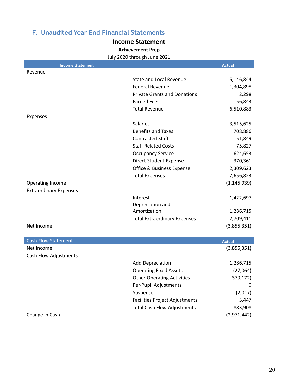## <span id="page-19-1"></span><span id="page-19-0"></span>**F. Unaudited Year End Financial Statements**

#### **Income Statement**

**Achievement Prep**

July 2020 through June 2021

| <b>Income Statement</b>       |                                       | <b>Actual</b> |
|-------------------------------|---------------------------------------|---------------|
| Revenue                       |                                       |               |
|                               | <b>State and Local Revenue</b>        | 5,146,844     |
|                               | <b>Federal Revenue</b>                | 1,304,898     |
|                               | <b>Private Grants and Donations</b>   | 2,298         |
|                               | <b>Earned Fees</b>                    | 56,843        |
|                               | <b>Total Revenue</b>                  | 6,510,883     |
| Expenses                      |                                       |               |
|                               | <b>Salaries</b>                       | 3,515,625     |
|                               | <b>Benefits and Taxes</b>             | 708,886       |
|                               | <b>Contracted Staff</b>               | 51,849        |
|                               | <b>Staff-Related Costs</b>            | 75,827        |
|                               | <b>Occupancy Service</b>              | 624,653       |
|                               | <b>Direct Student Expense</b>         | 370,361       |
|                               | <b>Office &amp; Business Expense</b>  | 2,309,623     |
|                               | <b>Total Expenses</b>                 | 7,656,823     |
| <b>Operating Income</b>       |                                       | (1, 145, 939) |
| <b>Extraordinary Expenses</b> |                                       |               |
|                               | Interest                              | 1,422,697     |
|                               | Depreciation and                      |               |
|                               | Amortization                          | 1,286,715     |
|                               | <b>Total Extraordinary Expenses</b>   | 2,709,411     |
| Net Income                    |                                       | (3,855,351)   |
|                               |                                       |               |
| <b>Cash Flow Statement</b>    |                                       | <b>Actual</b> |
| Net Income                    |                                       | (3,855,351)   |
| Cash Flow Adjustments         |                                       |               |
|                               | <b>Add Depreciation</b>               | 1,286,715     |
|                               | <b>Operating Fixed Assets</b>         | (27,064)      |
|                               | <b>Other Operating Activities</b>     | (379, 172)    |
|                               | Per-Pupil Adjustments                 | 0             |
|                               | Suspense                              | (2,017)       |
|                               | <b>Facilities Project Adjustments</b> | 5,447         |
|                               | <b>Total Cash Flow Adjustments</b>    | 883,908       |
| Change in Cash                |                                       | (2,971,442)   |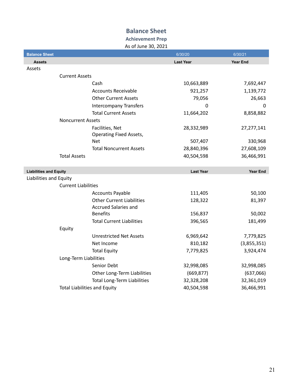## **Balance Sheet**

## **Achievement Prep**

As of June 30, 2021

| <b>Balance Sheet</b>                |                                    | 6/30/20          | 6/30/21         |
|-------------------------------------|------------------------------------|------------------|-----------------|
| <b>Assets</b>                       |                                    | <b>Last Year</b> | <b>Year End</b> |
| Assets                              |                                    |                  |                 |
| <b>Current Assets</b>               |                                    |                  |                 |
|                                     | Cash                               | 10,663,889       | 7,692,447       |
|                                     | <b>Accounts Receivable</b>         | 921,257          | 1,139,772       |
|                                     | <b>Other Current Assets</b>        | 79,056           | 26,663          |
|                                     | <b>Intercompany Transfers</b>      | <sup>0</sup>     | 0               |
|                                     | <b>Total Current Assets</b>        | 11,664,202       | 8,858,882       |
| <b>Noncurrent Assets</b>            |                                    |                  |                 |
|                                     | Facilities, Net                    | 28,332,989       | 27,277,141      |
|                                     | <b>Operating Fixed Assets,</b>     |                  |                 |
|                                     | Net                                | 507,407          | 330,968         |
|                                     | <b>Total Noncurrent Assets</b>     | 28,840,396       | 27,608,109      |
| <b>Total Assets</b>                 |                                    | 40,504,598       | 36,466,991      |
|                                     |                                    |                  |                 |
| <b>Liabilities and Equity</b>       |                                    | <b>Last Year</b> | <b>Year End</b> |
| Liabilities and Equity              |                                    |                  |                 |
| <b>Current Liabilities</b>          |                                    |                  |                 |
|                                     | <b>Accounts Payable</b>            | 111,405          | 50,100          |
|                                     | <b>Other Current Liabilities</b>   | 128,322          | 81,397          |
|                                     | <b>Accrued Salaries and</b>        |                  |                 |
|                                     | <b>Benefits</b>                    | 156,837          | 50,002          |
|                                     | <b>Total Current Liabilities</b>   | 396,565          | 181,499         |
| Equity                              |                                    |                  |                 |
|                                     | <b>Unrestricted Net Assets</b>     | 6,969,642        | 7,779,825       |
|                                     | Net Income                         | 810,182          | (3,855,351)     |
|                                     | <b>Total Equity</b>                | 7,779,825        | 3,924,474       |
|                                     | Long-Term Liabilities              |                  |                 |
|                                     | Senior Debt                        | 32,998,085       | 32,998,085      |
|                                     | Other Long-Term Liabilities        | (669, 877)       | (637,066)       |
|                                     | <b>Total Long-Term Liabilities</b> | 32,328,208       | 32,361,019      |
| <b>Total Liabilities and Equity</b> |                                    | 40,504,598       | 36,466,991      |